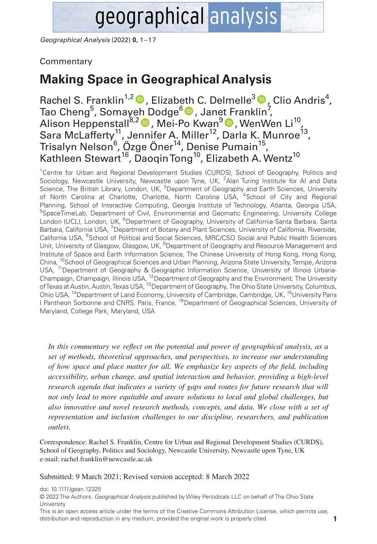# geographical analysis

*Geographical Analysis* (2022) **0**, 1–17

# **Commentary**

# **Making Space in Geographical Analysis**

Rachel S. Franklin<sup>1,2</sup> D, Elizab[eth](https://orcid.org/0000-0003-0335-3576) C. Delmelle<sup>3</sup> D[,](https://orcid.org/0000-0003-3735-8359) Clio Andris<sup>4</sup>, Tao Cheng<sup>5</sup>, Somaye[h D](https://orcid.org/0000-0002-0663-3437)odge<sup>6</sup> D , Jane[t Fr](https://orcid.org/0000-0001-8602-9258)anklin<sup>7</sup>, Alison Heppenstall<sup>8,2</sup> D, Mei-Po Kwan<sup>9</sup> D, WenWen Li<sup>10</sup>, Sara McLafferty<sup>11</sup>, Jennifer A. Miller<sup>12</sup>, Darla K. Munroe<sup>13</sup>, Trisalyn Nelson<sup>6</sup>, Özge Öner<sup>14</sup>, Denise Pumain<sup>15</sup>, Kathleen Stewart<sup>16</sup>, Daogin Tong<sup>10</sup>, Elizabeth A. Wentz<sup>10</sup>

<sup>1</sup>Centre for Urban and Regional Development Studies (CURDS), School of Geography, Politics and Sociology, Newcastle University, Newcastle upon Tyne, UK, <sup>2</sup> Alan Turing Institute for AI and Data Science, The British Library, London, UK, <sup>3</sup>Department of Geography and Earth Sciences, University of North Carolina at Charlotte, Charlotte, North Carolina USA, <sup>4</sup>School of City and Regional Planning, School of Interactive Computing, Georgia Institute of Technology, Atlanta, Georgia USA, <sup>5</sup>SpaceTimeLab, Department of Civil, Environmental and Geomatic Engineering, University College London (UCL), London, UK, <sup>6</sup>Department of Geography, University of California Santa Barbara, Santa Barbara, California USA, <sup>7</sup>Department of Botany and Plant Sciences, University of California, Riverside, California USA, <sup>8</sup>School of Political and Social Sciences, MRC/CSO Social and Public Health Sciences Unit, University of Glasgow, Glasgow, UK, <sup>9</sup>Department of Geography and Resource Management and Institute of Space and Earth Information Science, The Chinese University of Hong Kong, Hong Kong, China, <sup>10</sup>School of Geographical Sciences and Urban Planning, Arizona State University, Tempe, Arizona USA, <sup>11</sup> Department of Geography & Geographic Information Science, University of Illinois Urbana-Champaign, Champaign, Illinois USA, <sup>12</sup>Department of Geography and the Environment, The University of Texas at Austin, Austin, Texas USA, 13Department of Geography, The Ohio State University, Columbus, Ohio USA, <sup>14</sup>Department of Land Economy, University of Cambridge, Cambridge, UK, <sup>15</sup>University Paris I Pantheon Sorbonne and CNRS, Paris, France, <sup>16</sup>Department of Geographical Sciences, University of Maryland, College Park, Maryland, USA

*In this commentary we reflect on the potential and power of geographical analysis, as a set of methods, theoretical approaches, and perspectives, to increase our understanding of how space and place matter for all. We emphasize key aspects of the field, including accessibility, urban change, and spatial interaction and behavior, providing a high-level research agenda that indicates a variety of gaps and routes for future research that will not only lead to more equitable and aware solutions to local and global challenges, but also innovative and novel research methods, concepts, and data. We close with a set of representation and inclusion challenges to our discipline, researchers, and publication outlets.*

Correspondence: Rachel S. Franklin, Centre for Urban and Regional Development Studies (CURDS), School of Geography, Politics and Sociology, Newcastle University, Newcastle upon Tyne, UK e-mail: [rachel.franklin@newcastle.ac.uk](mailto:rachel.franklin@newcastle.ac.uk) 

Submitted: 9 March 2021; Revised version accepted: 8 March 2022

doi: 10.1111/gean.12325

© 2022 The Authors. *Geographical Analysis* published by Wiley Periodicals LLC on behalf of The Ohio State **University** 

This is an open access article under the terms of the [Creative Commons Attribution](http://creativecommons.org/licenses/by/4.0/) License, which permits use, distribution and reproduction in any medium, provided the original work is properly cited.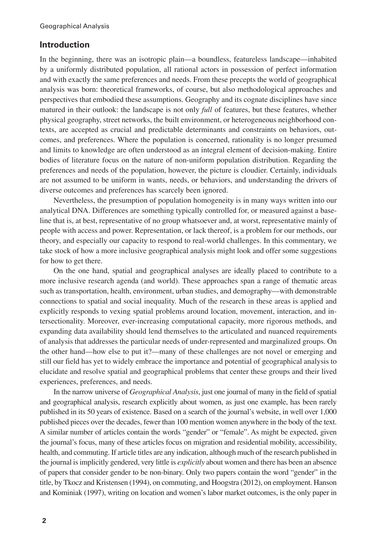# **Introduction**

In the beginning, there was an isotropic plain—a boundless, featureless landscape—inhabited by a uniformly distributed population, all rational actors in possession of perfect information and with exactly the same preferences and needs. From these precepts the world of geographical analysis was born: theoretical frameworks, of course, but also methodological approaches and perspectives that embodied these assumptions. Geography and its cognate disciplines have since matured in their outlook: the landscape is not only *full* of features, but these features, whether physical geography, street networks, the built environment, or heterogeneous neighborhood contexts, are accepted as crucial and predictable determinants and constraints on behaviors, outcomes, and preferences. Where the population is concerned, rationality is no longer presumed and limits to knowledge are often understood as an integral element of decision-making. Entire bodies of literature focus on the nature of non-uniform population distribution. Regarding the preferences and needs of the population, however, the picture is cloudier. Certainly, individuals are not assumed to be uniform in wants, needs, or behaviors, and understanding the drivers of diverse outcomes and preferences has scarcely been ignored.

Nevertheless, the presumption of population homogeneity is in many ways written into our analytical DNA. Differences are something typically controlled for, or measured against a baseline that is, at best, representative of no group whatsoever and, at worst, representative mainly of people with access and power. Representation, or lack thereof, is a problem for our methods, our theory, and especially our capacity to respond to real-world challenges. In this commentary, we take stock of how a more inclusive geographical analysis might look and offer some suggestions for how to get there.

On the one hand, spatial and geographical analyses are ideally placed to contribute to a more inclusive research agenda (and world). These approaches span a range of thematic areas such as transportation, health, environment, urban studies, and demography—with demonstrable connections to spatial and social inequality. Much of the research in these areas is applied and explicitly responds to vexing spatial problems around location, movement, interaction, and intersectionality. Moreover, ever-increasing computational capacity, more rigorous methods, and expanding data availability should lend themselves to the articulated and nuanced requirements of analysis that addresses the particular needs of under-represented and marginalized groups. On the other hand—how else to put it?—many of these challenges are not novel or emerging and still our field has yet to widely embrace the importance and potential of geographical analysis to elucidate and resolve spatial and geographical problems that center these groups and their lived experiences, preferences, and needs.

In the narrow universe of *Geographical Analysis*, just one journal of many in the field of spatial and geographical analysis, research explicitly about women, as just one example, has been rarely published in its 50 years of existence. Based on a search of the journal's website, in well over 1,000 published pieces over the decades, fewer than 100 mention women anywhere in the body of the text. A similar number of articles contain the words "gender" or "female". As might be expected, given the journal's focus, many of these articles focus on migration and residential mobility, accessibility, health, and commuting. If article titles are any indication, although much of the research published in the journal is implicitly gendered, very little is *explicitly* about women and there has been an absence of papers that consider gender to be non-binary. Only two papers contain the word "gender" in the title, by Tkocz and Kristensen (1994), on commuting, and Hoogstra (2012), on employment. Hanson and Kominiak (1997), writing on location and women's labor market outcomes, is the only paper in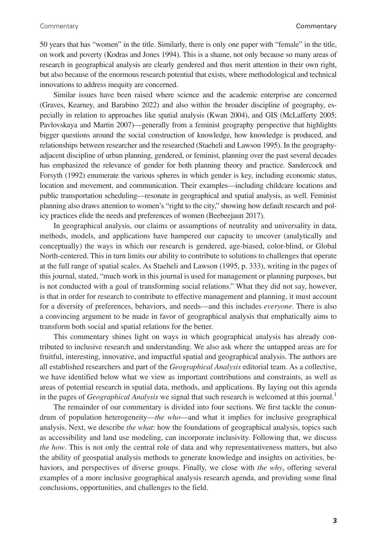50 years that has "women" in the title. Similarly, there is only one paper with "female" in the title, on work and poverty (Kodras and Jones 1994). This is a shame, not only because so many areas of research in geographical analysis are clearly gendered and thus merit attention in their own right, but also because of the enormous research potential that exists, where methodological and technical innovations to address inequity are concerned.

Similar issues have been raised where science and the academic enterprise are concerned (Graves, Kearney, and Barabino 2022) and also within the broader discipline of geography, especially in relation to approaches like spatial analysis (Kwan 2004), and GIS (McLafferty 2005; Pavlovskaya and Martin 2007)—generally from a feminist geography perspective that highlights bigger questions around the social construction of knowledge, how knowledge is produced, and relationships between researcher and the researched (Staeheli and Lawson 1995). In the geographyadjacent discipline of urban planning, gendered, or feminist, planning over the past several decades has emphasized the relevance of gender for both planning theory and practice. Sandercock and Forsyth (1992) enumerate the various spheres in which gender is key, including economic status, location and movement, and communication. Their examples—including childcare locations and public transportation scheduling—resonate in geographical and spatial analysis, as well. Feminist planning also draws attention to women's "right to the city," showing how default research and policy practices elide the needs and preferences of women (Beebeejaun 2017).

In geographical analysis, our claims or assumptions of neutrality and universality in data, methods, models, and applications have hampered our capacity to uncover (analytically and conceptually) the ways in which our research is gendered, age-biased, color-blind, or Global North-centered. This in turn limits our ability to contribute to solutions to challenges that operate at the full range of spatial scales. As Staeheli and Lawson (1995, p. 333), writing in the pages of this journal, stated, "much work in this journal is used for management or planning purposes, but is not conducted with a goal of transforming social relations." What they did not say, however, is that in order for research to contribute to effective management and planning, it must account for a diversity of preferences, behaviors, and needs—and this includes *everyone*. There is also a convincing argument to be made in favor of geographical analysis that emphatically aims to transform both social and spatial relations for the better.

This commentary shines light on ways in which geographical analysis has already contributed to inclusive research and understanding. We also ask where the untapped areas are for fruitful, interesting, innovative, and impactful spatial and geographical analysis. The authors are all established researchers and part of the *Geographical Analysis* editorial team. As a collective, we have identified below what we view as important contributions and constraints, as well as areas of potential research in spatial data, methods, and applications. By laying out this agenda in the pages of *Geographical Analysis* we signal that such research is welcomed at this journal.<sup>1</sup>

The remainder of our commentary is divided into four sections. We first tackle the conundrum of population heterogeneity—*the who*—and what it implies for inclusive geographical analysis. Next, we describe *the what*: how the foundations of geographical analysis, topics such as accessibility and land use modeling, can incorporate inclusivity. Following that, we discuss *the how*. This is not only the central role of data and why representativeness matters, but also the ability of geospatial analysis methods to generate knowledge and insights on activities, behaviors, and perspectives of diverse groups. Finally, we close with *the why*, offering several examples of a more inclusive geographical analysis research agenda, and providing some final conclusions, opportunities, and challenges to the field.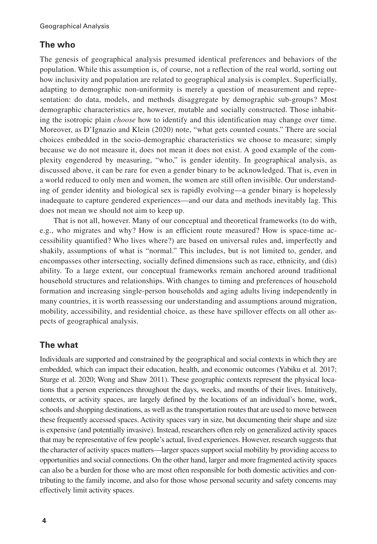# **The who**

The genesis of geographical analysis presumed identical preferences and behaviors of the population. While this assumption is, of course, not a reflection of the real world, sorting out how inclusivity and population are related to geographical analysis is complex. Superficially, adapting to demographic non-uniformity is merely a question of measurement and representation: do data, models, and methods disaggregate by demographic sub-groups? Most demographic characteristics are, however, mutable and socially constructed. Those inhabiting the isotropic plain *choose* how to identify and this identification may change over time. Moreover, as D'Ignazio and Klein (2020) note, "what gets counted counts." There are social choices embedded in the socio-demographic characteristics we choose to measure; simply because we do not measure it, does not mean it does not exist. A good example of the complexity engendered by measuring, "who," is gender identity. In geographical analysis, as discussed above, it can be rare for even a gender binary to be acknowledged. That is, even in a world reduced to only men and women, the women are still often invisible. Our understanding of gender identity and biological sex is rapidly evolving—a gender binary is hopelessly inadequate to capture gendered experiences—and our data and methods inevitably lag. This does not mean we should not aim to keep up.

That is not all, however. Many of our conceptual and theoretical frameworks (to do with, e.g., who migrates and why? How is an efficient route measured? How is space-time accessibility quantified? Who lives where?) are based on universal rules and, imperfectly and shakily, assumptions of what is "normal." This includes, but is not limited to, gender, and encompasses other intersecting, socially defined dimensions such as race, ethnicity, and (dis) ability. To a large extent, our conceptual frameworks remain anchored around traditional household structures and relationships. With changes to timing and preferences of household formation and increasing single-person households and aging adults living independently in many countries, it is worth reassessing our understanding and assumptions around migration, mobility, accessibility, and residential choice, as these have spillover effects on all other aspects of geographical analysis.

# **The what**

Individuals are supported and constrained by the geographical and social contexts in which they are embedded, which can impact their education, health, and economic outcomes (Yabiku et al. 2017; Sturge et al. 2020; Wong and Shaw 2011). These geographic contexts represent the physical locations that a person experiences throughout the days, weeks, and months of their lives. Intuitively, contexts, or activity spaces, are largely defined by the locations of an individual's home, work, schools and shopping destinations, as well as the transportation routes that are used to move between these frequently accessed spaces. Activity spaces vary in size, but documenting their shape and size is expensive (and potentially invasive). Instead, researchers often rely on generalized activity spaces that may be representative of few people's actual, lived experiences. However, research suggests that the character of activity spaces matters—larger spaces support social mobility by providing access to opportunities and social connections. On the other hand, larger and more fragmented activity spaces can also be a burden for those who are most often responsible for both domestic activities and contributing to the family income, and also for those whose personal security and safety concerns may effectively limit activity spaces.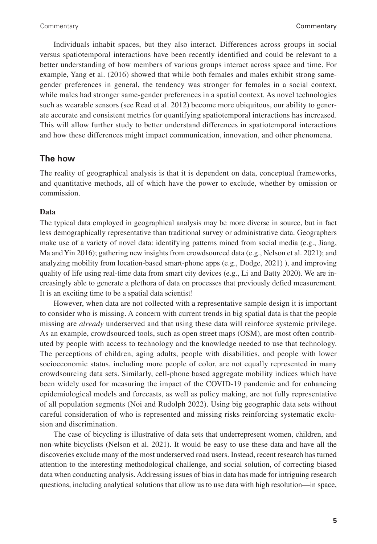Individuals inhabit spaces, but they also interact. Differences across groups in social versus spatiotemporal interactions have been recently identified and could be relevant to a better understanding of how members of various groups interact across space and time. For example, Yang et al. (2016) showed that while both females and males exhibit strong samegender preferences in general, the tendency was stronger for females in a social context, while males had stronger same-gender preferences in a spatial context. As novel technologies such as wearable sensors (see Read et al. 2012) become more ubiquitous, our ability to generate accurate and consistent metrics for quantifying spatiotemporal interactions has increased. This will allow further study to better understand differences in spatiotemporal interactions and how these differences might impact communication, innovation, and other phenomena.

### **The how**

The reality of geographical analysis is that it is dependent on data, conceptual frameworks, and quantitative methods, all of which have the power to exclude, whether by omission or commission.

#### **Data**

The typical data employed in geographical analysis may be more diverse in source, but in fact less demographically representative than traditional survey or administrative data. Geographers make use of a variety of novel data: identifying patterns mined from social media (e.g., Jiang, Ma and Yin 2016); gathering new insights from crowdsourced data (e.g., Nelson et al. 2021); and analyzing mobility from location-based smart-phone apps (e.g., Dodge, 2021) ), and improving quality of life using real-time data from smart city devices (e.g., Li and Batty 2020). We are increasingly able to generate a plethora of data on processes that previously defied measurement. It is an exciting time to be a spatial data scientist!

However, when data are not collected with a representative sample design it is important to consider who is missing. A concern with current trends in big spatial data is that the people missing are *already* underserved and that using these data will reinforce systemic privilege. As an example, crowdsourced tools, such as open street maps (OSM), are most often contributed by people with access to technology and the knowledge needed to use that technology. The perceptions of children, aging adults, people with disabilities, and people with lower socioeconomic status, including more people of color, are not equally represented in many crowdsourcing data sets. Similarly, cell-phone based aggregate mobility indices which have been widely used for measuring the impact of the COVID-19 pandemic and for enhancing epidemiological models and forecasts, as well as policy making, are not fully representative of all population segments (Noi and Rudolph 2022). Using big geographic data sets without careful consideration of who is represented and missing risks reinforcing systematic exclusion and discrimination.

The case of bicycling is illustrative of data sets that underrepresent women, children, and non-white bicyclists (Nelson et al. 2021). It would be easy to use these data and have all the discoveries exclude many of the most underserved road users. Instead, recent research has turned attention to the interesting methodological challenge, and social solution, of correcting biased data when conducting analysis. Addressing issues of bias in data has made for intriguing research questions, including analytical solutions that allow us to use data with high resolution—in space,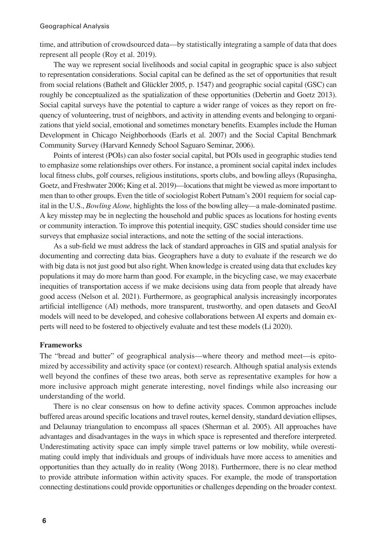time, and attribution of crowdsourced data—by statistically integrating a sample of data that does represent all people (Roy et al. 2019).

The way we represent social livelihoods and social capital in geographic space is also subject to representation considerations. Social capital can be defined as the set of opportunities that result from social relations (Bathelt and Glückler 2005, p. 1547) and geographic social capital (GSC) can roughly be conceptualized as the spatialization of these opportunities (Debertin and Goetz 2013). Social capital surveys have the potential to capture a wider range of voices as they report on frequency of volunteering, trust of neighbors, and activity in attending events and belonging to organizations that yield social, emotional and sometimes monetary benefits. Examples include the Human Development in Chicago Neighborhoods (Earls et al. 2007) and the Social Capital Benchmark Community Survey (Harvard Kennedy School Saguaro Seminar, 2006).

Points of interest (POIs) can also foster social capital, but POIs used in geographic studies tend to emphasize some relationships over others. For instance, a prominent social capital index includes local fitness clubs, golf courses, religious institutions, sports clubs, and bowling alleys (Rupasingha, Goetz, and Freshwater 2006; King et al. 2019)—locations that might be viewed as more important to men than to other groups. Even the title of sociologist Robert Putnam's 2001 requiem for social capital in the U.S., *Bowling Alone,* highlights the loss of the bowling alley—a male-dominated pastime. A key misstep may be in neglecting the household and public spaces as locations for hosting events or community interaction. To improve this potential inequity, GSC studies should consider time use surveys that emphasize social interactions, and note the setting of the social interactions.

As a sub-field we must address the lack of standard approaches in GIS and spatial analysis for documenting and correcting data bias. Geographers have a duty to evaluate if the research we do with big data is not just good but also right. When knowledge is created using data that excludes key populations it may do more harm than good. For example, in the bicycling case, we may exacerbate inequities of transportation access if we make decisions using data from people that already have good access (Nelson et al. 2021). Furthermore, as geographical analysis increasingly incorporates artificial intelligence (AI) methods, more transparent, trustworthy, and open datasets and GeoAI models will need to be developed, and cohesive collaborations between AI experts and domain experts will need to be fostered to objectively evaluate and test these models (Li 2020).

#### **Frameworks**

The "bread and butter" of geographical analysis—where theory and method meet—is epitomized by accessibility and activity space (or context) research. Although spatial analysis extends well beyond the confines of these two areas, both serve as representative examples for how a more inclusive approach might generate interesting, novel findings while also increasing our understanding of the world.

There is no clear consensus on how to define activity spaces. Common approaches include buffered areas around specific locations and travel routes, kernel density, standard deviation ellipses, and Delaunay triangulation to encompass all spaces (Sherman et al. 2005). All approaches have advantages and disadvantages in the ways in which space is represented and therefore interpreted. Underestimating activity space can imply simple travel patterns or low mobility, while overestimating could imply that individuals and groups of individuals have more access to amenities and opportunities than they actually do in reality (Wong 2018). Furthermore, there is no clear method to provide attribute information within activity spaces. For example, the mode of transportation connecting destinations could provide opportunities or challenges depending on the broader context.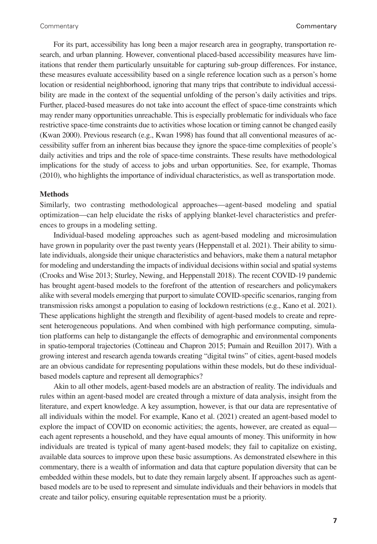For its part, accessibility has long been a major research area in geography, transportation research, and urban planning. However, conventional placed-based accessibility measures have limitations that render them particularly unsuitable for capturing sub-group differences. For instance, these measures evaluate accessibility based on a single reference location such as a person's home location or residential neighborhood, ignoring that many trips that contribute to individual accessibility are made in the context of the sequential unfolding of the person's daily activities and trips. Further, placed-based measures do not take into account the effect of space-time constraints which may render many opportunities unreachable. This is especially problematic for individuals who face restrictive space-time constraints due to activities whose location or timing cannot be changed easily (Kwan 2000). Previous research (e.g., Kwan 1998) has found that all conventional measures of accessibility suffer from an inherent bias because they ignore the space-time complexities of people's daily activities and trips and the role of space-time constraints. These results have methodological implications for the study of access to jobs and urban opportunities. See, for example, Thomas (2010), who highlights the importance of individual characteristics, as well as transportation mode.

#### **Methods**

Similarly, two contrasting methodological approaches—agent-based modeling and spatial optimization—can help elucidate the risks of applying blanket-level characteristics and preferences to groups in a modeling setting.

Individual-based modeling approaches such as agent-based modeling and microsimulation have grown in popularity over the past twenty years (Heppenstall et al. 2021). Their ability to simulate individuals, alongside their unique characteristics and behaviors, make them a natural metaphor for modeling and understanding the impacts of individual decisions within social and spatial systems (Crooks and Wise 2013; Sturley, Newing, and Heppenstall 2018). The recent COVID-19 pandemic has brought agent-based models to the forefront of the attention of researchers and policymakers alike with several models emerging that purport to simulate COVID-specific scenarios, ranging from transmission risks amongst a population to easing of lockdown restrictions (e.g., Kano et al. 2021). These applications highlight the strength and flexibility of agent-based models to create and represent heterogeneous populations. And when combined with high performance computing, simulation platforms can help to distangangle the effects of demographic and environmental components in spatio-temporal trajectories (Cottineau and Chapron 2015; Pumain and Reuillon 2017). With a growing interest and research agenda towards creating "digital twins" of cities, agent-based models are an obvious candidate for representing populations within these models, but do these individualbased models capture and represent all demographics?

Akin to all other models, agent-based models are an abstraction of reality. The individuals and rules within an agent-based model are created through a mixture of data analysis, insight from the literature, and expert knowledge. A key assumption, however, is that our data are representative of all individuals within the model. For example, Kano et al. (2021) created an agent-based model to explore the impact of COVID on economic activities; the agents, however, are created as equal each agent represents a household, and they have equal amounts of money. This uniformity in how individuals are treated is typical of many agent-based models; they fail to capitalize on existing, available data sources to improve upon these basic assumptions. As demonstrated elsewhere in this commentary, there is a wealth of information and data that capture population diversity that can be embedded within these models, but to date they remain largely absent. If approaches such as agentbased models are to be used to represent and simulate individuals and their behaviors in models that create and tailor policy, ensuring equitable representation must be a priority.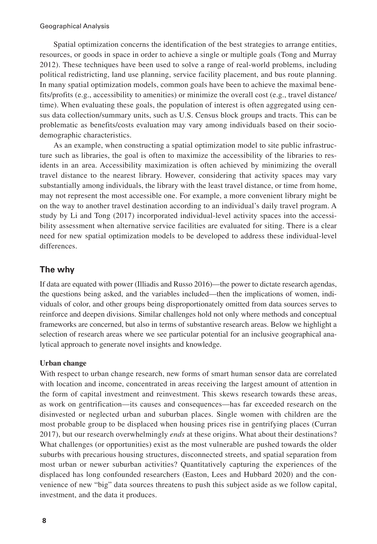Spatial optimization concerns the identification of the best strategies to arrange entities, resources, or goods in space in order to achieve a single or multiple goals (Tong and Murray 2012). These techniques have been used to solve a range of real-world problems, including political redistricting, land use planning, service facility placement, and bus route planning. In many spatial optimization models, common goals have been to achieve the maximal benefits/profits (e.g., accessibility to amenities) or minimize the overall cost (e.g., travel distance/ time). When evaluating these goals, the population of interest is often aggregated using census data collection/summary units, such as U.S. Census block groups and tracts. This can be problematic as benefits/costs evaluation may vary among individuals based on their sociodemographic characteristics.

As an example, when constructing a spatial optimization model to site public infrastructure such as libraries, the goal is often to maximize the accessibility of the libraries to residents in an area. Accessibility maximization is often achieved by minimizing the overall travel distance to the nearest library. However, considering that activity spaces may vary substantially among individuals, the library with the least travel distance, or time from home, may not represent the most accessible one. For example, a more convenient library might be on the way to another travel destination according to an individual's daily travel program. A study by Li and Tong (2017) incorporated individual-level activity spaces into the accessibility assessment when alternative service facilities are evaluated for siting. There is a clear need for new spatial optimization models to be developed to address these individual-level differences.

# **The why**

If data are equated with power (Illiadis and Russo 2016)—the power to dictate research agendas, the questions being asked, and the variables included—then the implications of women, individuals of color, and other groups being disproportionately omitted from data sources serves to reinforce and deepen divisions. Similar challenges hold not only where methods and conceptual frameworks are concerned, but also in terms of substantive research areas. Below we highlight a selection of research areas where we see particular potential for an inclusive geographical analytical approach to generate novel insights and knowledge.

#### **Urban change**

With respect to urban change research, new forms of smart human sensor data are correlated with location and income, concentrated in areas receiving the largest amount of attention in the form of capital investment and reinvestment. This skews research towards these areas, as work on gentrification—its causes and consequences—has far exceeded research on the disinvested or neglected urban and suburban places. Single women with children are the most probable group to be displaced when housing prices rise in gentrifying places (Curran 2017), but our research overwhelmingly *ends* at these origins. What about their destinations? What challenges (or opportunities) exist as the most vulnerable are pushed towards the older suburbs with precarious housing structures, disconnected streets, and spatial separation from most urban or newer suburban activities? Quantitatively capturing the experiences of the displaced has long confounded researchers (Easton, Lees and Hubbard 2020) and the convenience of new "big" data sources threatens to push this subject aside as we follow capital, investment, and the data it produces.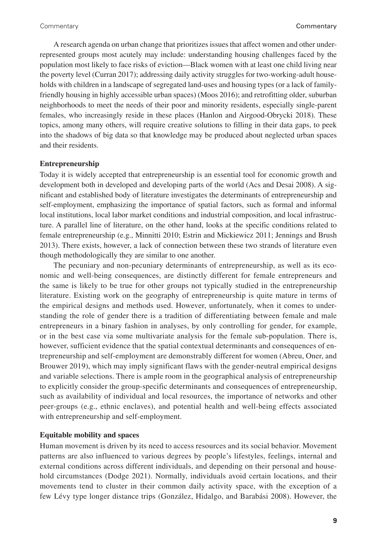A research agenda on urban change that prioritizes issues that affect women and other underrepresented groups most acutely may include: understanding housing challenges faced by the population most likely to face risks of eviction—Black women with at least one child living near the poverty level (Curran 2017); addressing daily activity struggles for two-working-adult households with children in a landscape of segregated land-uses and housing types (or a lack of familyfriendly housing in highly accessible urban spaces) (Moos 2016); and retrofitting older, suburban neighborhoods to meet the needs of their poor and minority residents, especially single-parent females, who increasingly reside in these places (Hanlon and Airgood-Obrycki 2018). These topics, among many others, will require creative solutions to filling in their data gaps, to peek into the shadows of big data so that knowledge may be produced about neglected urban spaces and their residents.

#### **Entrepreneurship**

Today it is widely accepted that entrepreneurship is an essential tool for economic growth and development both in developed and developing parts of the world (Acs and Desai 2008). A significant and established body of literature investigates the determinants of entrepreneurship and self-employment, emphasizing the importance of spatial factors, such as formal and informal local institutions, local labor market conditions and industrial composition, and local infrastructure. A parallel line of literature, on the other hand, looks at the specific conditions related to female entrepreneurship (e.g., Minnitti 2010; Estrin and Mickiewicz 2011; Jennings and Brush 2013). There exists, however, a lack of connection between these two strands of literature even though methodologically they are similar to one another.

The pecuniary and non-pecuniary determinants of entrepreneurship, as well as its economic and well-being consequences, are distinctly different for female entrepreneurs and the same is likely to be true for other groups not typically studied in the entrepreneurship literature. Existing work on the geography of entrepreneurship is quite mature in terms of the empirical designs and methods used. However, unfortunately, when it comes to understanding the role of gender there is a tradition of differentiating between female and male entrepreneurs in a binary fashion in analyses, by only controlling for gender, for example, or in the best case via some multivariate analysis for the female sub-population. There is, however, sufficient evidence that the spatial contextual determinants and consequences of entrepreneurship and self-employment are demonstrably different for women (Abreu, Oner, and Brouwer 2019), which may imply significant flaws with the gender-neutral empirical designs and variable selections. There is ample room in the geographical analysis of entrepreneurship to explicitly consider the group-specific determinants and consequences of entrepreneurship, such as availability of individual and local resources, the importance of networks and other peer-groups (e.g., ethnic enclaves), and potential health and well-being effects associated with entrepreneurship and self-employment.

#### **Equitable mobility and spaces**

Human movement is driven by its need to access resources and its social behavior. Movement patterns are also influenced to various degrees by people's lifestyles, feelings, internal and external conditions across different individuals, and depending on their personal and household circumstances (Dodge 2021). Normally, individuals avoid certain locations, and their movements tend to cluster in their common daily activity space, with the exception of a few Lévy type longer distance trips (González, Hidalgo, and Barabási 2008). However, the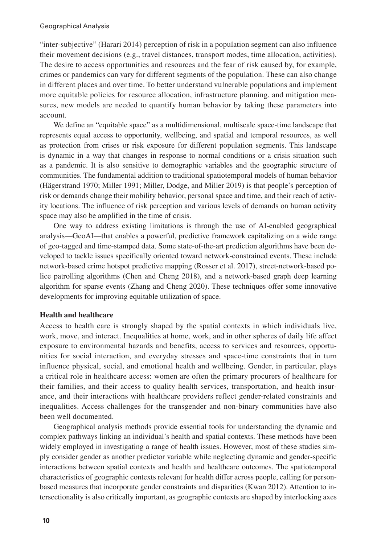"inter-subjective" (Harari 2014) perception of risk in a population segment can also influence their movement decisions (e.g., travel distances, transport modes, time allocation, activities). The desire to access opportunities and resources and the fear of risk caused by, for example, crimes or pandemics can vary for different segments of the population. These can also change in different places and over time. To better understand vulnerable populations and implement more equitable policies for resource allocation, infrastructure planning, and mitigation measures, new models are needed to quantify human behavior by taking these parameters into account.

We define an "equitable space" as a multidimensional, multiscale space-time landscape that represents equal access to opportunity, wellbeing, and spatial and temporal resources, as well as protection from crises or risk exposure for different population segments. This landscape is dynamic in a way that changes in response to normal conditions or a crisis situation such as a pandemic. It is also sensitive to demographic variables and the geographic structure of communities. The fundamental addition to traditional spatiotemporal models of human behavior (Hägerstrand 1970; Miller 1991; Miller, Dodge, and Miller 2019) is that people's perception of risk or demands change their mobility behavior, personal space and time, and their reach of activity locations. The influence of risk perception and various levels of demands on human activity space may also be amplified in the time of crisis.

One way to address existing limitations is through the use of AI-enabled geographical analysis—GeoAI—that enables a powerful, predictive framework capitalizing on a wide range of geo-tagged and time-stamped data. Some state-of-the-art prediction algorithms have been developed to tackle issues specifically oriented toward network-constrained events. These include network-based crime hotspot predictive mapping (Rosser et al. 2017), street-network-based police patrolling algorithms (Chen and Cheng 2018), and a network-based graph deep learning algorithm for sparse events (Zhang and Cheng 2020). These techniques offer some innovative developments for improving equitable utilization of space.

#### **Health and healthcare**

Access to health care is strongly shaped by the spatial contexts in which individuals live, work, move, and interact. Inequalities at home, work, and in other spheres of daily life affect exposure to environmental hazards and benefits, access to services and resources, opportunities for social interaction, and everyday stresses and space-time constraints that in turn influence physical, social, and emotional health and wellbeing. Gender, in particular, plays a critical role in healthcare access: women are often the primary procurers of healthcare for their families, and their access to quality health services, transportation, and health insurance, and their interactions with healthcare providers reflect gender-related constraints and inequalities. Access challenges for the transgender and non-binary communities have also been well documented.

Geographical analysis methods provide essential tools for understanding the dynamic and complex pathways linking an individual's health and spatial contexts. These methods have been widely employed in investigating a range of health issues. However, most of these studies simply consider gender as another predictor variable while neglecting dynamic and gender-specific interactions between spatial contexts and health and healthcare outcomes. The spatiotemporal characteristics of geographic contexts relevant for health differ across people, calling for personbased measures that incorporate gender constraints and disparities (Kwan 2012). Attention to intersectionality is also critically important, as geographic contexts are shaped by interlocking axes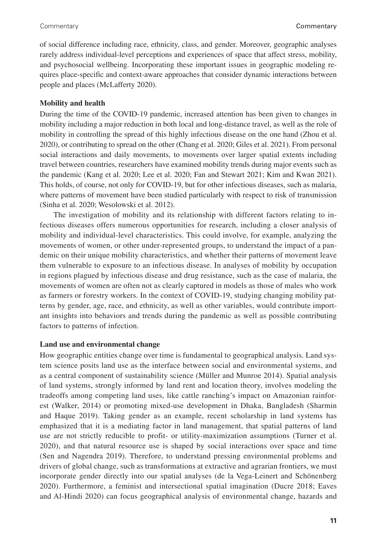of social difference including race, ethnicity, class, and gender. Moreover, geographic analyses rarely address individual-level perceptions and experiences of space that affect stress, mobility, and psychosocial wellbeing. Incorporating these important issues in geographic modeling requires place-specific and context-aware approaches that consider dynamic interactions between people and places (McLafferty 2020).

#### **Mobility and health**

During the time of the COVID-19 pandemic, increased attention has been given to changes in mobility including a major reduction in both local and long-distance travel, as well as the role of mobility in controlling the spread of this highly infectious disease on the one hand (Zhou et al. 2020), or contributing to spread on the other (Chang et al. 2020; Giles et al. 2021). From personal social interactions and daily movements, to movements over larger spatial extents including travel between countries, researchers have examined mobility trends during major events such as the pandemic (Kang et al. 2020; Lee et al. 2020; Fan and Stewart 2021; Kim and Kwan 2021). This holds, of course, not only for COVID-19, but for other infectious diseases, such as malaria, where patterns of movement have been studied particularly with respect to risk of transmission (Sinha et al. 2020; Wesolowski et al. 2012).

The investigation of mobility and its relationship with different factors relating to infectious diseases offers numerous opportunities for research, including a closer analysis of mobility and individual-level characteristics. This could involve, for example, analyzing the movements of women, or other under-represented groups, to understand the impact of a pandemic on their unique mobility characteristics, and whether their patterns of movement leave them vulnerable to exposure to an infectious disease. In analyses of mobility by occupation in regions plagued by infectious disease and drug resistance, such as the case of malaria, the movements of women are often not as clearly captured in models as those of males who work as farmers or forestry workers. In the context of COVID-19, studying changing mobility patterns by gender, age, race, and ethnicity, as well as other variables, would contribute important insights into behaviors and trends during the pandemic as well as possible contributing factors to patterns of infection.

#### **Land use and environmental change**

How geographic entities change over time is fundamental to geographical analysis. Land system science posits land use as the interface between social and environmental systems, and as a central component of sustainability science (Müller and Munroe 2014). Spatial analysis of land systems, strongly informed by land rent and location theory, involves modeling the tradeoffs among competing land uses, like cattle ranching's impact on Amazonian rainforest (Walker, 2014) or promoting mixed-use development in Dhaka, Bangladesh (Sharmin and Haque 2019). Taking gender as an example, recent scholarship in land systems has emphasized that it is a mediating factor in land management, that spatial patterns of land use are not strictly reducible to profit- or utility-maximization assumptions (Turner et al. 2020), and that natural resource use is shaped by social interactions over space and time (Sen and Nagendra 2019). Therefore, to understand pressing environmental problems and drivers of global change, such as transformations at extractive and agrarian frontiers, we must incorporate gender directly into our spatial analyses (de la Vega-Leinert and Schönenberg 2020). Furthermore, a feminist and intersectional spatial imagination (Ducre 2018; Eaves and Al-Hindi 2020) can focus geographical analysis of environmental change, hazards and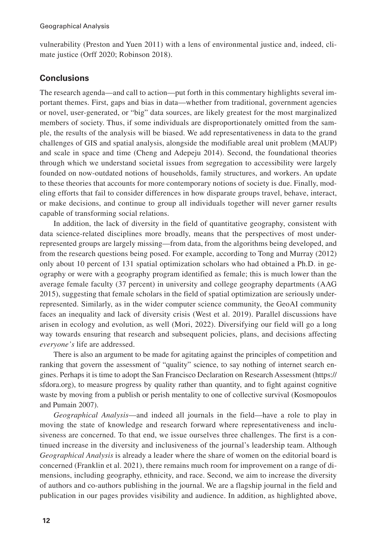vulnerability (Preston and Yuen 2011) with a lens of environmental justice and, indeed, climate justice (Orff 2020; Robinson 2018).

# **Conclusions**

The research agenda—and call to action—put forth in this commentary highlights several important themes. First, gaps and bias in data—whether from traditional, government agencies or novel, user-generated, or "big" data sources, are likely greatest for the most marginalized members of society. Thus, if some individuals are disproportionately omitted from the sample, the results of the analysis will be biased. We add representativeness in data to the grand challenges of GIS and spatial analysis, alongside the modifiable areal unit problem (MAUP) and scale in space and time (Cheng and Adepeju 2014). Second, the foundational theories through which we understand societal issues from segregation to accessibility were largely founded on now-outdated notions of households, family structures, and workers. An update to these theories that accounts for more contemporary notions of society is due. Finally, modeling efforts that fail to consider differences in how disparate groups travel, behave, interact, or make decisions, and continue to group all individuals together will never garner results capable of transforming social relations.

In addition, the lack of diversity in the field of quantitative geography, consistent with data science-related disciplines more broadly, means that the perspectives of most underrepresented groups are largely missing—from data, from the algorithms being developed, and from the research questions being posed. For example, according to Tong and Murray (2012) only about 10 percent of 131 spatial optimization scholars who had obtained a Ph.D. in geography or were with a geography program identified as female; this is much lower than the average female faculty (37 percent) in university and college geography departments (AAG 2015), suggesting that female scholars in the field of spatial optimization are seriously underrepresented. Similarly, as in the wider computer science community, the GeoAI community faces an inequality and lack of diversity crisis (West et al. 2019). Parallel discussions have arisen in ecology and evolution, as well (Mori, 2022). Diversifying our field will go a long way towards ensuring that research and subsequent policies, plans, and decisions affecting *everyone's* life are addressed.

There is also an argument to be made for agitating against the principles of competition and ranking that govern the assessment of "quality" science, to say nothing of internet search engines. Perhaps it is time to adopt the San Francisco Declaration on Research Assessment [\(https://](https://sfdora.org) [sfdora.org\)](https://sfdora.org), to measure progress by quality rather than quantity, and to fight against cognitive waste by moving from a publish or perish mentality to one of collective survival (Kosmopoulos and Pumain 2007).

*Geographical Analysis*—and indeed all journals in the field—have a role to play in moving the state of knowledge and research forward where representativeness and inclusiveness are concerned. To that end, we issue ourselves three challenges. The first is a continued increase in the diversity and inclusiveness of the journal's leadership team. Although *Geographical Analysis* is already a leader where the share of women on the editorial board is concerned (Franklin et al. 2021), there remains much room for improvement on a range of dimensions, including geography, ethnicity, and race. Second, we aim to increase the diversity of authors and co-authors publishing in the journal. We are a flagship journal in the field and publication in our pages provides visibility and audience. In addition, as highlighted above,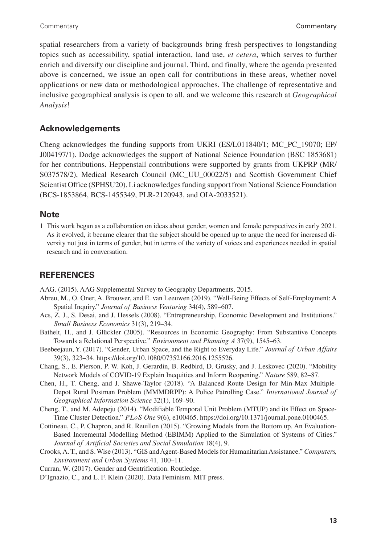spatial researchers from a variety of backgrounds bring fresh perspectives to longstanding topics such as accessibility, spatial interaction, land use, *et cetera*, which serves to further enrich and diversify our discipline and journal. Third, and finally, where the agenda presented above is concerned, we issue an open call for contributions in these areas, whether novel applications or new data or methodological approaches. The challenge of representative and inclusive geographical analysis is open to all, and we welcome this research at *Geographical Analysis*!

# **Acknowledgements**

Cheng acknowledges the funding supports from UKRI (ES/L011840/1; MC\_PC\_19070; EP/ J004197/1). Dodge acknowledges the support of National Science Foundation (BSC 1853681) for her contributions. Heppenstall contributions were supported by grants from UKPRP (MR/ S037578/2), Medical Research Council (MC\_UU\_00022/5) and Scottish Government Chief Scientist Office (SPHSU20). Li acknowledges funding support from National Science Foundation (BCS-1853864, BCS-1455349, PLR-2120943, and OIA-2033521).

# **Note**

1 This work began as a collaboration on ideas about gender, women and female perspectives in early 2021. As it evolved, it became clearer that the subject should be opened up to argue the need for increased diversity not just in terms of gender, but in terms of the variety of voices and experiences needed in spatial research and in conversation.

# **REFERENCES**

AAG. (2015). AAG Supplemental Survey to Geography Departments, 2015.

- Abreu, M., O. Oner, A. Brouwer, and E. van Leeuwen (2019). "Well-Being Effects of Self-Employment: A Spatial Inquiry." *Journal of Business Venturing* 34(4), 589–607.
- Acs, Z. J., S. Desai, and J. Hessels (2008). "Entrepreneurship, Economic Development and Institutions." *Small Business Economics* 31(3), 219–34.
- Bathelt, H., and J. Glückler (2005). "Resources in Economic Geography: From Substantive Concepts Towards a Relational Perspective." *Environment and Planning A* 37(9), 1545–63.
- Beebeejaun, Y. (2017). "Gender, Urban Space, and the Right to Everyday Life." *Journal of Urban Affairs* 39(3), 323–34. <https://doi.org/10.1080/07352166.2016.1255526>.
- Chang, S., E. Pierson, P. W. Koh, J. Gerardin, B. Redbird, D. Grusky, and J. Leskovec (2020). "Mobility Network Models of COVID-19 Explain Inequities and Inform Reopening." *Nature* 589, 82–87.
- Chen, H., T. Cheng, and J. Shawe-Taylor (2018). "A Balanced Route Design for Min-Max Multiple-Depot Rural Postman Problem (MMMDRPP): A Police Patrolling Case." *International Journal of Geographical Information Science* 32(1), 169–90.
- Cheng, T., and M. Adepeju (2014). "Modifiable Temporal Unit Problem (MTUP) and its Effect on Space-Time Cluster Detection." *PLoS One* 9(6), e100465. [https://doi.org/10.1371/journal.pone.0100465.](https://doi.org/10.1371/journal.pone.0100465)
- Cottineau, C., P. Chapron, and R. Reuillon (2015). "Growing Models from the Bottom up. An Evaluation-Based Incremental Modelling Method (EBIMM) Applied to the Simulation of Systems of Cities." *Journal of Artificial Societies and Social Simulation* 18(4), 9.
- Crooks, A. T., and S. Wise (2013). "GIS and Agent-Based Models for Humanitarian Assistance." *Computers, Environment and Urban Systems* 41, 100–11.
- Curran, W. (2017). Gender and Gentrification. Routledge.

D'Ignazio, C., and L. F. Klein (2020). Data Feminism. MIT press.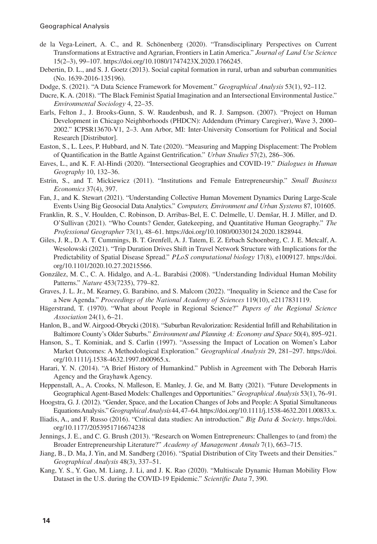- de la Vega-Leinert, A. C., and R. Schönenberg (2020). "Transdisciplinary Perspectives on Current Transformations at Extractive and Agrarian, Frontiers in Latin America." *Journal of Land Use Science* 15(2–3), 99–107. <https://doi.org/10.1080/1747423X.2020.1766245>.
- Debertin, D. L., and S. J. Goetz (2013). Social capital formation in rural, urban and suburban communities (No. 1639-2016-135196).
- Dodge, S. (2021). "A Data Science Framework for Movement." *Geographical Analysis* 53(1), 92–112.
- Ducre, K. A. (2018). "The Black Feminist Spatial Imagination and an Intersectional Environmental Justice." *Environmental Sociology* 4, 22–35.
- Earls, Felton J., J. Brooks-Gunn, S. W. Raudenbush, and R. J. Sampson. (2007). "Project on Human Development in Chicago Neighborhoods (PHDCN): Addendum (Primary Caregiver), Wave 3, 2000– 2002." ICPSR13670-V1, 2–3. Ann Arbor, MI: Inter-University Consortium for Political and Social Research [Distributor].
- Easton, S., L. Lees, P. Hubbard, and N. Tate (2020). "Measuring and Mapping Displacement: The Problem of Quantification in the Battle Against Gentrification." *Urban Studies* 57(2), 286–306.
- Eaves, L., and K. F. Al-Hindi (2020). "Intersectional Geographies and COVID-19." *Dialogues in Human Geography* 10, 132–36.
- Estrin, S., and T. Mickiewicz (2011). "Institutions and Female Entrepreneurship." *Small Business Economics* 37(4), 397.
- Fan, J., and K. Stewart (2021). "Understanding Collective Human Movement Dynamics During Large-Scale Events Using Big Geosocial Data Analytics." *Computers, Environment and Urban Systems* 87, 101605.
- Franklin, R. S., V. Houlden, C. Robinson, D. Arribas-Bel, E. C. Delmelle, U. Demšar, H. J. Miller, and D. O'Sullivan (2021). "Who Counts? Gender, Gatekeeping, and Quantitative Human Geography." *The Professional Geographer* 73(1), 48–61. <https://doi.org/10.1080/00330124.2020.1828944>.
- Giles, J. R., D. A. T. Cummings, B. T. Grenfell, A. J. Tatem, E. Z. Erbach Schoenberg, C. J. E. Metcalf, A. Wesolowski (2021). "Trip Duration Drives Shift in Travel Network Structure with Implications for the Predictability of Spatial Disease Spread." *PLoS computational biology* 17(8), e1009127. [https://doi.](https://doi.org/10.1101/2020.10.27.20215566) [org/10.1101/2020.10.27.20215566.](https://doi.org/10.1101/2020.10.27.20215566)
- González, M. C., C. A. Hidalgo, and A.-L. Barabási (2008). "Understanding Individual Human Mobility Patterns." *Nature* 453(7235), 779–82.
- Graves, J. L. Jr., M. Kearney, G. Barabino, and S. Malcom (2022). "Inequality in Science and the Case for a New Agenda." *Proceedings of the National Academy of Sciences* 119(10), e2117831119.
- Hägerstrand, T. (1970). "What about People in Regional Science?" *Papers of the Regional Science Association* 24(1), 6–21.
- Hanlon, B., and W. Airgood-Obrycki (2018). "Suburban Revalorization: Residential Infill and Rehabilitation in Baltimore County's Older Suburbs." *Environment and Planning A: Economy and Space* 50(4), 895–921.
- Hanson, S., T. Kominiak, and S. Carlin (1997). "Assessing the Impact of Location on Women's Labor Market Outcomes: A Methodological Exploration." *Geographical Analysis* 29, 281–297. [https://doi.](https://doi.org/10.1111/j.1538-4632.1997.tb00965.x) [org/10.1111/j.1538-4632.1997.tb00965.x.](https://doi.org/10.1111/j.1538-4632.1997.tb00965.x)
- Harari, Y. N. (2014). "A Brief History of Humankind." Publish in Agreement with The Deborah Harris Agency and the Grayhawk Agency.
- Heppenstall, A., A. Crooks, N. Malleson, E. Manley, J. Ge, and M. Batty (2021). "Future Developments in Geographical Agent-Based Models: Challenges and Opportunities." *Geographical Analysis* 53(1), 76–91.
- Hoogstra, G. J. (2012). "Gender, Space, and the Location Changes of Jobs and People: A Spatial Simultaneous Equations Analysis." *Geographical Analysis* 44, 47–64.<https://doi.org/10.1111/j.1538-4632.2011.00833.x>.
- Iliadis, A., and F. Russo (2016). "Critical data studies: An introduction." *Big Data & Society*. [https://doi.](https://doi.org/10.1177/2053951716674238) [org/10.1177/2053951716674238](https://doi.org/10.1177/2053951716674238)
- Jennings, J. E., and C. G. Brush (2013). "Research on Women Entrepreneurs: Challenges to (and from) the Broader Entrepreneurship Literature?" *Academy of Management Annals* 7(1), 663–715.
- Jiang, B., D. Ma, J. Yin, and M. Sandberg (2016). "Spatial Distribution of City Tweets and their Densities." *Geographical Analysis* 48(3), 337–51.
- Kang, Y. S., Y. Gao, M. Liang, J. Li, and J. K. Rao (2020). "Multiscale Dynamic Human Mobility Flow Dataset in the U.S. during the COVID-19 Epidemic." *Scientific Data* 7, 390.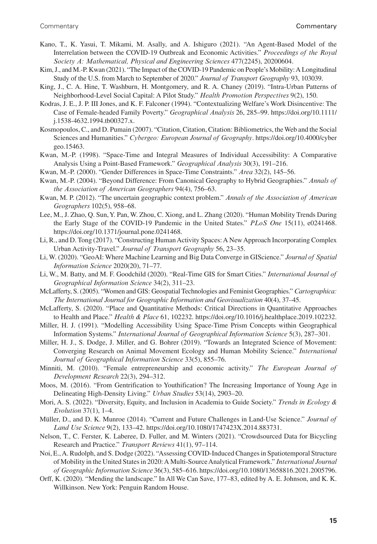- Kano, T., K. Yasui, T. Mikami, M. Asally, and A. Ishiguro (2021). "An Agent-Based Model of the Interrelation between the COVID-19 Outbreak and Economic Activities." *Proceedings of the Royal Society A: Mathematical, Physical and Engineering Sciences* 477(2245), 20200604.
- Kim, J., and M.-P. Kwan (2021). "The Impact of the COVID-19 Pandemic on People's Mobility: A Longitudinal Study of the U.S. from March to September of 2020." *Journal of Transport Geography* 93, 103039.
- King, J., C. A. Hine, T. Washburn, H. Montgomery, and R. A. Chaney (2019). "Intra-Urban Patterns of Neighborhood-Level Social Capital: A Pilot Study." *Health Promotion Perspectives* 9(2), 150.
- Kodras, J. E., J. P. III Jones, and K. F. Falconer (1994). "Contextualizing Welfare's Work Disincentive: The Case of Female-headed Family Poverty." *Geographical Analysis* 26, 285–99. [https://doi.org/10.1111/](https://doi.org/10.1111/j.1538-4632.1994.tb00327.x) [j.1538-4632.1994.tb00327.x.](https://doi.org/10.1111/j.1538-4632.1994.tb00327.x)
- Kosmopoulos, C., and D. Pumain (2007). "Citation, Citation, Citation: Bibliometrics, the Web and the Social Sciences and Humanities." *Cybergeo: European Journal of Geography*. [https://doi.org/10.4000/cyber](https://doi.org/10.4000/cybergeo.15463) [geo.15463.](https://doi.org/10.4000/cybergeo.15463)
- Kwan, M.-P. (1998). "Space-Time and Integral Measures of Individual Accessibility: A Comparative Analysis Using a Point-Based Framework." *Geographical Analysis* 30(3), 191–216.
- Kwan, M.-P. (2000). "Gender Differences in Space-Time Constraints." *Area* 32(2), 145–56.
- Kwan, M.-P. (2004). "Beyond Difference: From Canonical Geography to Hybrid Geographies." *Annals of the Association of American Geographers* 94(4), 756–63.
- Kwan, M. P. (2012). "The uncertain geographic context problem." *Annals of the Association of American Geographers* 102(5), 958–68.
- Lee, M., J. Zhao, Q. Sun, Y. Pan, W. Zhou, C. Xiong, and L. Zhang (2020). "Human Mobility Trends During the Early Stage of the COVID-19 Pandemic in the United States." *PLoS One* 15(11), e0241468. [https://doi.org/10.1371/journal.pone.0241468.](https://doi.org/10.1371/journal.pone.0241468)
- Li, R., and D. Tong (2017). "Constructing Human Activity Spaces: A New Approach Incorporating Complex Urban Activity-Travel." *Journal of Transport Geography* 56, 23–35.
- Li, W. (2020). "GeoAI: Where Machine Learning and Big Data Converge in GIScience." *Journal of Spatial Information Science* 2020(20), 71–77.
- Li, W., M. Batty, and M. F. Goodchild (2020). "Real-Time GIS for Smart Cities." *International Journal of Geographical Information Science* 34(2), 311–23.
- McLafferty, S. (2005). "Women and GIS: Geospatial Technologies and Feminist Geographies." *Cartographica: The International Journal for Geographic Information and Geovisualization* 40(4), 37–45.
- McLafferty, S. (2020). "Place and Quantitative Methods: Critical Directions in Quantitative Approaches to Health and Place." *Health & Place* 61, 102232. <https://doi.org/10.1016/j.healthplace.2019.102232>.
- Miller, H. J. (1991). "Modelling Accessibility Using Space-Time Prism Concepts within Geographical Information Systems." *International Journal of Geographical Information Science* 5(3), 287–301.
- Miller, H. J., S. Dodge, J. Miller, and G. Bohrer (2019). "Towards an Integrated Science of Movement: Converging Research on Animal Movement Ecology and Human Mobility Science." *International Journal of Geographical Information Science* 33(5), 855–76.
- Minniti, M. (2010). "Female entrepreneurship and economic activity." *The European Journal of Development Research* 22(3), 294–312.
- Moos, M. (2016). "From Gentrification to Youthification? The Increasing Importance of Young Age in Delineating High-Density Living." *Urban Studies* 53(14), 2903–20.
- Mori, A. S. (2022). "Diversity, Equity, and Inclusion in Academia to Guide Society." *Trends in Ecology & Evolution* 37(1), 1–4.
- Müller, D., and D. K. Munroe (2014). "Current and Future Challenges in Land-Use Science." *Journal of Land Use Science* 9(2), 133–42. <https://doi.org/10.1080/1747423X.2014.883731>.
- Nelson, T., C. Ferster, K. Laberee, D. Fuller, and M. Winters (2021). "Crowdsourced Data for Bicycling Research and Practice." *Transport Reviews* 41(1), 97–114.
- Noi, E., A. Rudolph, and S. Dodge (2022). "Assessing COVID-Induced Changes in Spatiotemporal Structure of Mobility in the United States in 2020: A Multi-Source Analytical Framework." *International Journal of Geographic Information Science* 36(3), 585–616.<https://doi.org/10.1080/13658816.2021.2005796>.
- Orff, K. (2020). "Mending the landscape." In All We Can Save, 177–83, edited by A. E. Johnson, and K. K. Willkinson. New York: Penguin Random House.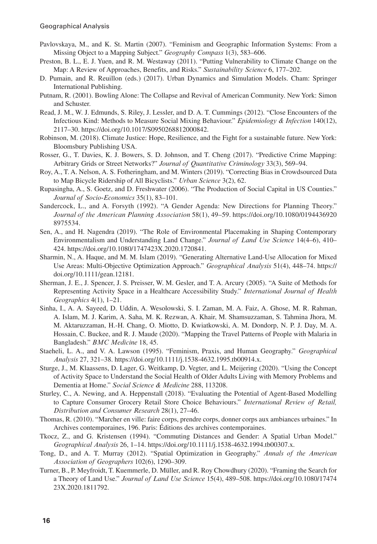- Pavlovskaya, M., and K. St. Martin (2007). "Feminism and Geographic Information Systems: From a Missing Object to a Mapping Subject." *Geography Compass* 1(3), 583–606.
- Preston, B. L., E. J. Yuen, and R. M. Westaway (2011). "Putting Vulnerability to Climate Change on the Map: A Review of Approaches, Benefits, and Risks." *Sustainability Science* 6, 177–202.
- D. Pumain, and R. Reuillon (eds.) (2017). Urban Dynamics and Simulation Models. Cham: Springer International Publishing.
- Putnam, R. (2001). Bowling Alone: The Collapse and Revival of American Community. New York: Simon and Schuster.
- Read, J. M., W. J. Edmunds, S. Riley, J. Lessler, and D. A. T. Cummings (2012). "Close Encounters of the Infectious Kind: Methods to Measure Social Mixing Behaviour." *Epidemiology & Infection* 140(12), 2117–30. [https://doi.org/10.1017/S0950268812000842.](https://doi.org/10.1017/S0950268812000842)
- Robinson, M. (2018). Climate Justice: Hope, Resilience, and the Fight for a sustainable future. New York: Bloomsbury Publishing USA.
- Rosser, G., T. Davies, K. J. Bowers, S. D. Johnson, and T. Cheng (2017). "Predictive Crime Mapping: Arbitrary Grids or Street Networks?" *Journal of Quantitative Criminology* 33(3), 569–94.
- Roy, A., T. A. Nelson, A. S. Fotheringham, and M. Winters (2019). "Correcting Bias in Crowdsourced Data to Map Bicycle Ridership of All Bicyclists." *Urban Science* 3(2), 62.
- Rupasingha, A., S. Goetz, and D. Freshwater (2006). "The Production of Social Capital in US Counties." *Journal of Socio-Economics* 35(1), 83–101.
- Sandercock, L., and A. Forsyth (1992). "A Gender Agenda: New Directions for Planning Theory." *Journal of the American Planning Association* 58(1), 49–59. [https://doi.org/10.1080/0194436920](https://doi.org/10.1080/01944369208975534) [8975534](https://doi.org/10.1080/01944369208975534).
- Sen, A., and H. Nagendra (2019). "The Role of Environmental Placemaking in Shaping Contemporary Environmentalism and Understanding Land Change." *Journal of Land Use Science* 14(4–6), 410– 424. [https://doi.org/10.1080/1747423X.2020.1720841.](https://doi.org/10.1080/1747423X.2020.1720841)
- Sharmin, N., A. Haque, and M. M. Islam (2019). "Generating Alternative Land-Use Allocation for Mixed Use Areas: Multi-Objective Optimization Approach." *Geographical Analysis* 51(4), 448–74. [https://](https://doi.org/10.1111/gean.12181) [doi.org/10.1111/gean.12181.](https://doi.org/10.1111/gean.12181)
- Sherman, J. E., J. Spencer, J. S. Preisser, W. M. Gesler, and T. A. Arcury (2005). "A Suite of Methods for Representing Activity Space in a Healthcare Accessibility Study." *International Journal of Health Geographics* 4(1), 1–21.
- Sinha, I., A. A. Sayeed, D. Uddin, A. Wesolowski, S. I. Zaman, M. A. Faiz, A. Ghose, M. R. Rahman, A. Islam, M. J. Karim, A. Saha, M. K. Rezwan, A. Khair, M. Shamsuzzaman, S. Tahmina Jhora, M. M. Aktaruzzaman, H.-H. Chang, O. Miotto, D. Kwiatkowski, A. M. Dondorp, N. P. J. Day, M. A. Hossain, C. Buckee, and R. J. Maude (2020). "Mapping the Travel Patterns of People with Malaria in Bangladesh." *BMC Medicine* 18, 45.
- Staeheli, L. A., and V. A. Lawson (1995). "Feminism, Praxis, and Human Geography." *Geographical Analysis* 27, 321–38. <https://doi.org/10.1111/j.1538-4632.1995.tb00914.x>.
- Sturge, J., M. Klaassens, D. Lager, G. Weitkamp, D. Vegter, and L. Meijering (2020). "Using the Concept of Activity Space to Understand the Social Health of Older Adults Living with Memory Problems and Dementia at Home." *Social Science & Medicine* 288, 113208.
- Sturley, C., A. Newing, and A. Heppenstall (2018). "Evaluating the Potential of Agent-Based Modelling to Capture Consumer Grocery Retail Store Choice Behaviours." *International Review of Retail, Distribution and Consumer Research* 28(1), 27–46.
- Thomas, R. (2010). "Marcher en ville: faire corps, prendre corps, donner corps aux ambiances urbaines." In Archives contemporaines, 196. Paris: Éditions des archives contemporaines.
- Tkocz, Z., and G. Kristensen (1994). "Commuting Distances and Gender: A Spatial Urban Model." *Geographical Analysis* 26, 1–14. [https://doi.org/10.1111/j.1538-4632.1994.tb00307.x.](https://doi.org/10.1111/j.1538-4632.1994.tb00307.x)
- Tong, D., and A. T. Murray (2012). "Spatial Optimization in Geography." *Annals of the American Association of Geographers* 102(6), 1290–309.
- Turner, B., P. Meyfroidt, T. Kuemmerle, D. Müller, and R. Roy Chowdhury (2020). "Framing the Search for a Theory of Land Use." *Journal of Land Use Science* 15(4), 489–508. [https://doi.org/10.1080/17474](https://doi.org/10.1080/1747423X.2020.1811792) [23X.2020.1811792.](https://doi.org/10.1080/1747423X.2020.1811792)